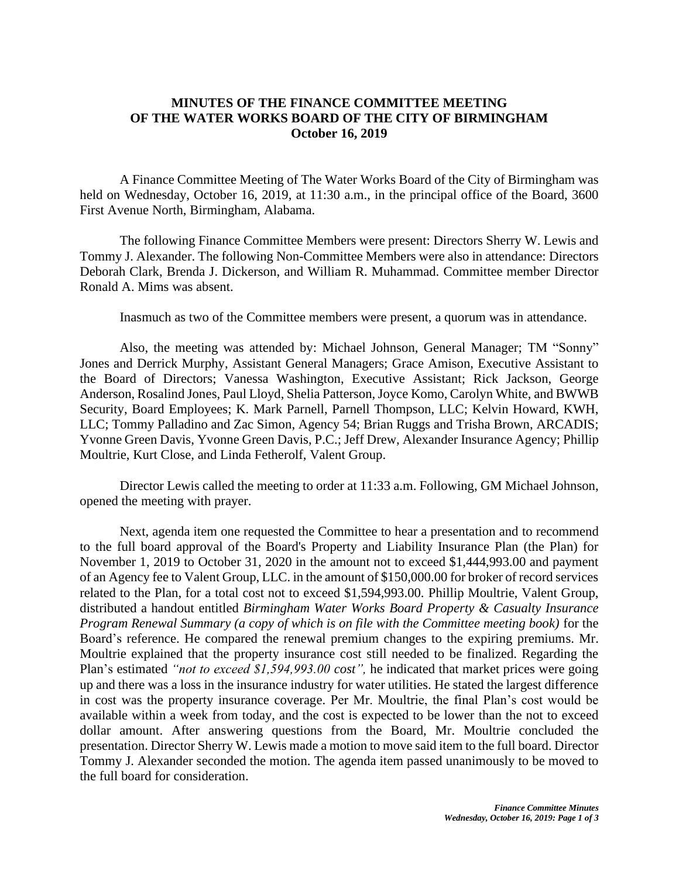## **MINUTES OF THE FINANCE COMMITTEE MEETING OF THE WATER WORKS BOARD OF THE CITY OF BIRMINGHAM October 16, 2019**

A Finance Committee Meeting of The Water Works Board of the City of Birmingham was held on Wednesday, October 16, 2019, at 11:30 a.m., in the principal office of the Board, 3600 First Avenue North, Birmingham, Alabama.

The following Finance Committee Members were present: Directors Sherry W. Lewis and Tommy J. Alexander. The following Non-Committee Members were also in attendance: Directors Deborah Clark, Brenda J. Dickerson, and William R. Muhammad. Committee member Director Ronald A. Mims was absent.

Inasmuch as two of the Committee members were present, a quorum was in attendance.

Also, the meeting was attended by: Michael Johnson, General Manager; TM "Sonny" Jones and Derrick Murphy, Assistant General Managers; Grace Amison, Executive Assistant to the Board of Directors; Vanessa Washington, Executive Assistant; Rick Jackson, George Anderson, Rosalind Jones, Paul Lloyd, Shelia Patterson, Joyce Komo, Carolyn White, and BWWB Security, Board Employees; K. Mark Parnell, Parnell Thompson, LLC; Kelvin Howard, KWH, LLC; Tommy Palladino and Zac Simon, Agency 54; Brian Ruggs and Trisha Brown, ARCADIS; Yvonne Green Davis, Yvonne Green Davis, P.C.; Jeff Drew, Alexander Insurance Agency; Phillip Moultrie, Kurt Close, and Linda Fetherolf, Valent Group.

Director Lewis called the meeting to order at 11:33 a.m. Following, GM Michael Johnson, opened the meeting with prayer.

Next, agenda item one requested the Committee to hear a presentation and to recommend to the full board approval of the Board's Property and Liability Insurance Plan (the Plan) for November 1, 2019 to October 31, 2020 in the amount not to exceed \$1,444,993.00 and payment of an Agency fee to Valent Group, LLC. in the amount of \$150,000.00 for broker of record services related to the Plan, for a total cost not to exceed \$1,594,993.00. Phillip Moultrie, Valent Group, distributed a handout entitled *Birmingham Water Works Board Property & Casualty Insurance Program Renewal Summary (a copy of which is on file with the Committee meeting book)* for the Board's reference. He compared the renewal premium changes to the expiring premiums. Mr. Moultrie explained that the property insurance cost still needed to be finalized. Regarding the Plan's estimated *"not to exceed \$1,594,993.00 cost",* he indicated that market prices were going up and there was a loss in the insurance industry for water utilities. He stated the largest difference in cost was the property insurance coverage. Per Mr. Moultrie, the final Plan's cost would be available within a week from today, and the cost is expected to be lower than the not to exceed dollar amount. After answering questions from the Board, Mr. Moultrie concluded the presentation. Director Sherry W. Lewis made a motion to move said item to the full board. Director Tommy J. Alexander seconded the motion. The agenda item passed unanimously to be moved to the full board for consideration.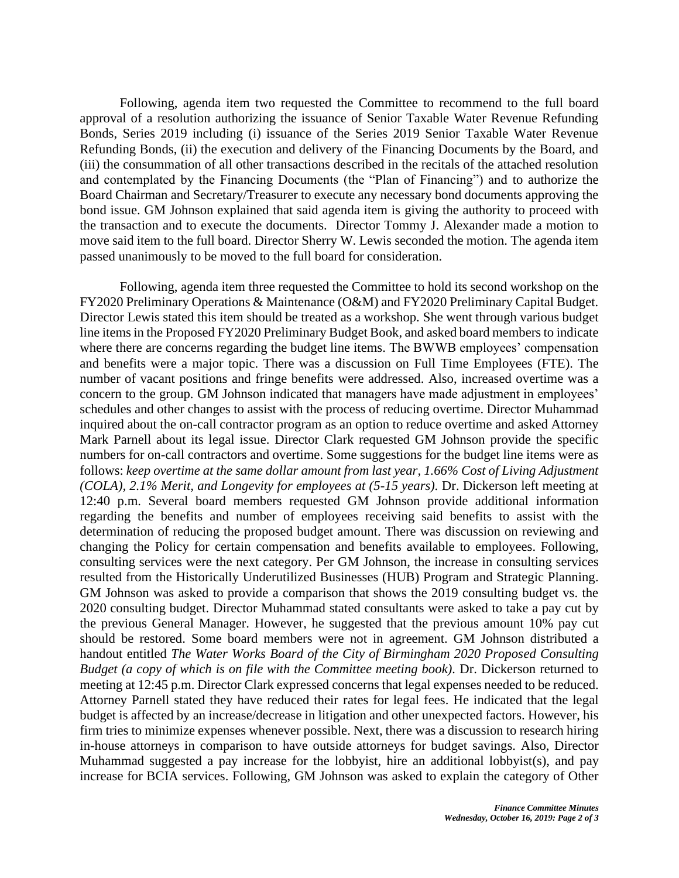Following, agenda item two requested the Committee to recommend to the full board approval of a resolution authorizing the issuance of Senior Taxable Water Revenue Refunding Bonds, Series 2019 including (i) issuance of the Series 2019 Senior Taxable Water Revenue Refunding Bonds, (ii) the execution and delivery of the Financing Documents by the Board, and (iii) the consummation of all other transactions described in the recitals of the attached resolution and contemplated by the Financing Documents (the "Plan of Financing") and to authorize the Board Chairman and Secretary/Treasurer to execute any necessary bond documents approving the bond issue. GM Johnson explained that said agenda item is giving the authority to proceed with the transaction and to execute the documents. Director Tommy J. Alexander made a motion to move said item to the full board. Director Sherry W. Lewis seconded the motion. The agenda item passed unanimously to be moved to the full board for consideration.

Following, agenda item three requested the Committee to hold its second workshop on the FY2020 Preliminary Operations & Maintenance (O&M) and FY2020 Preliminary Capital Budget. Director Lewis stated this item should be treated as a workshop. She went through various budget line items in the Proposed FY2020 Preliminary Budget Book, and asked board members to indicate where there are concerns regarding the budget line items. The BWWB employees' compensation and benefits were a major topic. There was a discussion on Full Time Employees (FTE). The number of vacant positions and fringe benefits were addressed. Also, increased overtime was a concern to the group. GM Johnson indicated that managers have made adjustment in employees' schedules and other changes to assist with the process of reducing overtime. Director Muhammad inquired about the on-call contractor program as an option to reduce overtime and asked Attorney Mark Parnell about its legal issue. Director Clark requested GM Johnson provide the specific numbers for on-call contractors and overtime. Some suggestions for the budget line items were as follows: *keep overtime at the same dollar amount from last year, 1.66% Cost of Living Adjustment (COLA), 2.1% Merit, and Longevity for employees at (5-15 years).* Dr. Dickerson left meeting at 12:40 p.m. Several board members requested GM Johnson provide additional information regarding the benefits and number of employees receiving said benefits to assist with the determination of reducing the proposed budget amount. There was discussion on reviewing and changing the Policy for certain compensation and benefits available to employees. Following, consulting services were the next category. Per GM Johnson, the increase in consulting services resulted from the Historically Underutilized Businesses (HUB) Program and Strategic Planning. GM Johnson was asked to provide a comparison that shows the 2019 consulting budget vs. the 2020 consulting budget. Director Muhammad stated consultants were asked to take a pay cut by the previous General Manager. However, he suggested that the previous amount 10% pay cut should be restored. Some board members were not in agreement. GM Johnson distributed a handout entitled *The Water Works Board of the City of Birmingham 2020 Proposed Consulting Budget (a copy of which is on file with the Committee meeting book).* Dr. Dickerson returned to meeting at 12:45 p.m. Director Clark expressed concerns that legal expenses needed to be reduced. Attorney Parnell stated they have reduced their rates for legal fees. He indicated that the legal budget is affected by an increase/decrease in litigation and other unexpected factors. However, his firm tries to minimize expenses whenever possible. Next, there was a discussion to research hiring in-house attorneys in comparison to have outside attorneys for budget savings. Also, Director Muhammad suggested a pay increase for the lobbyist, hire an additional lobbyist(s), and pay increase for BCIA services. Following, GM Johnson was asked to explain the category of Other